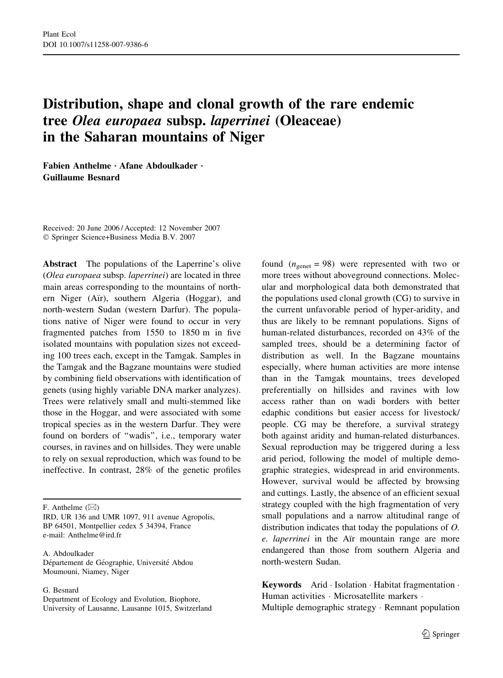# Distribution, shape and clonal growth of the rare endemic tree Olea europaea subsp. laperrinei (Oleaceae) in the Saharan mountains of Niger

Fabien Anthelme · Afane Abdoulkader · Guillaume Besnard

Received: 20 June 2006 / Accepted: 12 November 2007 Springer Science+Business Media B.V. 2007

Abstract The populations of the Laperrine's olive (Olea europaea subsp. laperrinei) are located in three main areas corresponding to the mountains of northern Niger (Air), southern Algeria (Hoggar), and north-western Sudan (western Darfur). The populations native of Niger were found to occur in very fragmented patches from 1550 to 1850 m in five isolated mountains with population sizes not exceeding 100 trees each, except in the Tamgak. Samples in the Tamgak and the Bagzane mountains were studied by combining field observations with identification of genets (using highly variable DNA marker analyzes). Trees were relatively small and multi-stemmed like those in the Hoggar, and were associated with some tropical species as in the western Darfur. They were found on borders of ''wadis'', i.e., temporary water courses, in ravines and on hillsides. They were unable to rely on sexual reproduction, which was found to be ineffective. In contrast, 28% of the genetic profiles

A. Abdoulkader Département de Géographie, Université Abdou Moumouni, Niamey, Niger

G. Besnard

Department of Ecology and Evolution, Biophore, University of Lausanne, Lausanne 1015, Switzerland found  $(n_{\text{genet}} = 98)$  were represented with two or more trees without aboveground connections. Molecular and morphological data both demonstrated that the populations used clonal growth (CG) to survive in the current unfavorable period of hyper-aridity, and thus are likely to be remnant populations. Signs of human-related disturbances, recorded on 43% of the sampled trees, should be a determining factor of distribution as well. In the Bagzane mountains especially, where human activities are more intense than in the Tamgak mountains, trees developed preferentially on hillsides and ravines with low access rather than on wadi borders with better edaphic conditions but easier access for livestock/ people. CG may be therefore, a survival strategy both against aridity and human-related disturbances. Sexual reproduction may be triggered during a less arid period, following the model of multiple demographic strategies, widespread in arid environments. However, survival would be affected by browsing and cuttings. Lastly, the absence of an efficient sexual strategy coupled with the high fragmentation of very small populations and a narrow altitudinal range of distribution indicates that today the populations of O. e. laperrinei in the Aïr mountain range are more endangered than those from southern Algeria and north-western Sudan.

Keywords Arid  $\cdot$  Isolation  $\cdot$  Habitat fragmentation  $\cdot$ Human activities · Microsatellite markers · Multiple demographic strategy  $\cdot$  Remnant population

F. Anthelme  $(\boxtimes)$ 

IRD, UR 136 and UMR 1097, 911 avenue Agropolis, BP 64501, Montpellier cedex 5 34394, France e-mail: Anthelme@ird.fr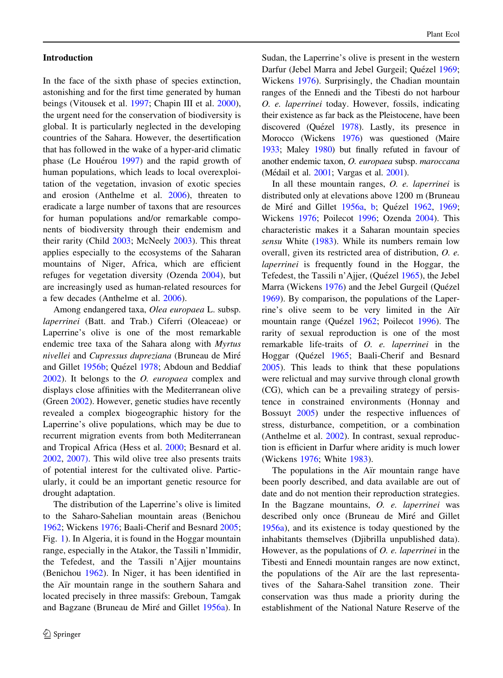# Introduction

In the face of the sixth phase of species extinction, astonishing and for the first time generated by human beings (Vitousek et al. [1997;](#page-14-0) Chapin III et al. [2000](#page-13-0)), the urgent need for the conservation of biodiversity is global. It is particularly neglected in the developing countries of the Sahara. However, the desertification that has followed in the wake of a hyper-arid climatic phase (Le Houérou [1997](#page-13-0)) and the rapid growth of human populations, which leads to local overexploitation of the vegetation, invasion of exotic species and erosion (Anthelme et al. [2006](#page-12-0)), threaten to eradicate a large number of taxons that are resources for human populations and/or remarkable components of biodiversity through their endemism and their rarity (Child [2003](#page-13-0); McNeely [2003](#page-13-0)). This threat applies especially to the ecosystems of the Saharan mountains of Niger, Africa, which are efficient refuges for vegetation diversity (Ozenda [2004](#page-13-0)), but are increasingly used as human-related resources for a few decades (Anthelme et al. [2006\)](#page-12-0).

Among endangered taxa, Olea europaea L. subsp. laperrinei (Batt. and Trab.) Ciferri (Oleaceae) or Laperrine's olive is one of the most remarkable endemic tree taxa of the Sahara along with Myrtus nivellei and Cupressus dupreziana (Bruneau de Miré and Gillet [1956b](#page-13-0); Quézel [1978](#page-14-0); Abdoun and Beddiaf [2002\)](#page-12-0). It belongs to the O. europaea complex and displays close affinities with the Mediterranean olive (Green [2002\)](#page-13-0). However, genetic studies have recently revealed a complex biogeographic history for the Laperrine's olive populations, which may be due to recurrent migration events from both Mediterranean and Tropical Africa (Hess et al. [2000;](#page-13-0) Besnard et al. [2002,](#page-13-0) [2007\).](#page-13-0) This wild olive tree also presents traits of potential interest for the cultivated olive. Particularly, it could be an important genetic resource for drought adaptation.

The distribution of the Laperrine's olive is limited to the Saharo-Sahelian mountain areas (Benichou [1962;](#page-13-0) Wickens [1976](#page-14-0); Baali-Cherif and Besnard [2005](#page-13-0); Fig. [1\)](#page-2-0). In Algeria, it is found in the Hoggar mountain range, especially in the Atakor, the Tassili n'Immidir, the Tefedest, and the Tassili n'Ajjer mountains (Benichou [1962](#page-13-0)). In Niger, it has been identified in the Aïr mountain range in the southern Sahara and located precisely in three massifs: Greboun, Tamgak and Bagzane (Bruneau de Miré and Gillet [1956a](#page-13-0)). In

Sudan, the Laperrine's olive is present in the western Darfur (Jebel Marra and Jebel Gurgeil; Quézel [1969](#page-14-0); Wickens [1976\)](#page-14-0). Surprisingly, the Chadian mountain ranges of the Ennedi and the Tibesti do not harbour O. e. laperrinei today. However, fossils, indicating their existence as far back as the Pleistocene, have been discovered (Quézel [1978](#page-14-0)). Lastly, its presence in Morocco (Wickens [1976](#page-14-0)) was questioned (Maire [1933](#page-13-0); Maley [1980](#page-13-0)) but finally refuted in favour of another endemic taxon, O. europaea subsp. maroccana (Médail et al. [2001;](#page-13-0) Vargas et al. [2001\)](#page-14-0).

In all these mountain ranges, O. e. laperrinei is distributed only at elevations above 1200 m (Bruneau de Miré and Gillet [1956a](#page-13-0), [b;](#page-13-0) Quézel [1962,](#page-14-0) [1969](#page-14-0); Wickens [1976;](#page-14-0) Poilecot [1996](#page-13-0); Ozenda [2004](#page-13-0)). This characteristic makes it a Saharan mountain species sensu White ([1983\)](#page-14-0). While its numbers remain low overall, given its restricted area of distribution, O. e. laperrinei is frequently found in the Hoggar, the Tefedest, the Tassili n'Ajjer, (Quézel [1965\)](#page-14-0), the Jebel Marra (Wickens [1976](#page-14-0)) and the Jebel Gurgeil (Quézel [1969\)](#page-14-0). By comparison, the populations of the Laperrine's olive seem to be very limited in the Air mountain range (Quézel [1962;](#page-14-0) Poilecot [1996](#page-13-0)). The rarity of sexual reproduction is one of the most remarkable life-traits of O. e. laperrinei in the Hoggar (Quézel [1965;](#page-14-0) Baali-Cherif and Besnard [2005\)](#page-13-0). This leads to think that these populations were relictual and may survive through clonal growth (CG), which can be a prevailing strategy of persistence in constrained environments (Honnay and Bossuyt [2005\)](#page-13-0) under the respective influences of stress, disturbance, competition, or a combination (Anthelme et al. [2002\)](#page-12-0). In contrast, sexual reproduction is efficient in Darfur where aridity is much lower (Wickens [1976;](#page-14-0) White [1983](#page-14-0)).

The populations in the Air mountain range have been poorly described, and data available are out of date and do not mention their reproduction strategies. In the Bagzane mountains, O. e. laperrinei was described only once (Bruneau de Miré and Gillet [1956a](#page-13-0)), and its existence is today questioned by the inhabitants themselves (Djibrilla unpublished data). However, as the populations of  $O$ . *e. laperrinei* in the Tibesti and Ennedi mountain ranges are now extinct, the populations of the Air are the last representatives of the Sahara-Sahel transition zone. Their conservation was thus made a priority during the establishment of the National Nature Reserve of the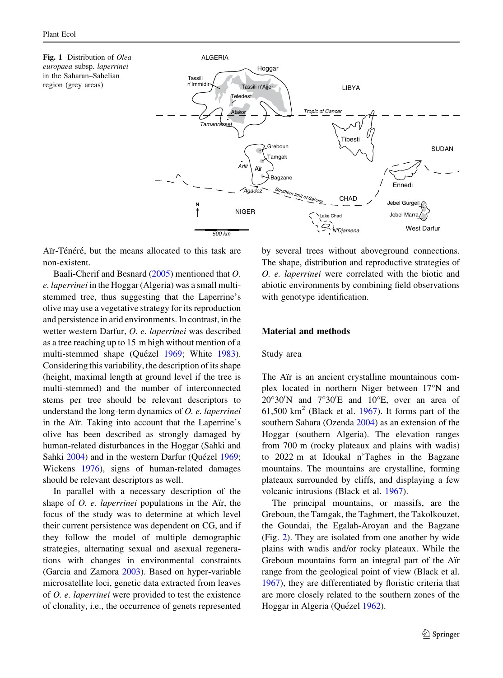<span id="page-2-0"></span>Fig. 1 Distribution of Olea europaea subsp. laperrinei in the Saharan–Sahelian region (grey areas)



Aïr-Ténéré, but the means allocated to this task are non-existent.

Baali-Cherif and Besnard [\(2005](#page-13-0)) mentioned that O. e. laperrinei in the Hoggar (Algeria) was a small multistemmed tree, thus suggesting that the Laperrine's olive may use a vegetative strategy for its reproduction and persistence in arid environments. In contrast, in the wetter western Darfur, O. e. laperrinei was described as a tree reaching up to 15 m high without mention of a multi-stemmed shape (Quézel [1969](#page-14-0); White [1983](#page-14-0)). Considering this variability, the description of its shape (height, maximal length at ground level if the tree is multi-stemmed) and the number of interconnected stems per tree should be relevant descriptors to understand the long-term dynamics of O. e. laperrinei in the Aïr. Taking into account that the Laperrine's olive has been described as strongly damaged by human-related disturbances in the Hoggar (Sahki and Sahki [2004](#page-14-0)) and in the western Darfur (Quézel [1969](#page-14-0); Wickens [1976](#page-14-0)), signs of human-related damages should be relevant descriptors as well.

In parallel with a necessary description of the shape of  $O.$  e. laperrinei populations in the Air, the focus of the study was to determine at which level their current persistence was dependent on CG, and if they follow the model of multiple demographic strategies, alternating sexual and asexual regenerations with changes in environmental constraints (Garcia and Zamora [2003\)](#page-13-0). Based on hyper-variable microsatellite loci, genetic data extracted from leaves of O. e. laperrinei were provided to test the existence of clonality, i.e., the occurrence of genets represented

by several trees without aboveground connections. The shape, distribution and reproductive strategies of O. e. laperrinei were correlated with the biotic and abiotic environments by combining field observations with genotype identification.

#### Material and methods

#### Study area

The Air is an ancient crystalline mountainous complex located in northern Niger between 17°N and  $20^{\circ}30'$ N and  $7^{\circ}30'E$  and  $10^{\circ}E$ , over an area of 61,500  $km^2$  (Black et al. [1967\)](#page-13-0). It forms part of the southern Sahara (Ozenda [2004\)](#page-13-0) as an extension of the Hoggar (southern Algeria). The elevation ranges from 700 m (rocky plateaux and plains with wadis) to 2022 m at Idoukal n'Taghes in the Bagzane mountains. The mountains are crystalline, forming plateaux surrounded by cliffs, and displaying a few volcanic intrusions (Black et al. [1967\)](#page-13-0).

The principal mountains, or massifs, are the Greboun, the Tamgak, the Taghmert, the Takolkouzet, the Goundai, the Egalah-Aroyan and the Bagzane (Fig. [2](#page-3-0)). They are isolated from one another by wide plains with wadis and/or rocky plateaux. While the Greboun mountains form an integral part of the Air range from the geological point of view (Black et al. [1967\)](#page-13-0), they are differentiated by floristic criteria that are more closely related to the southern zones of the Hoggar in Algeria (Quézel [1962](#page-14-0)).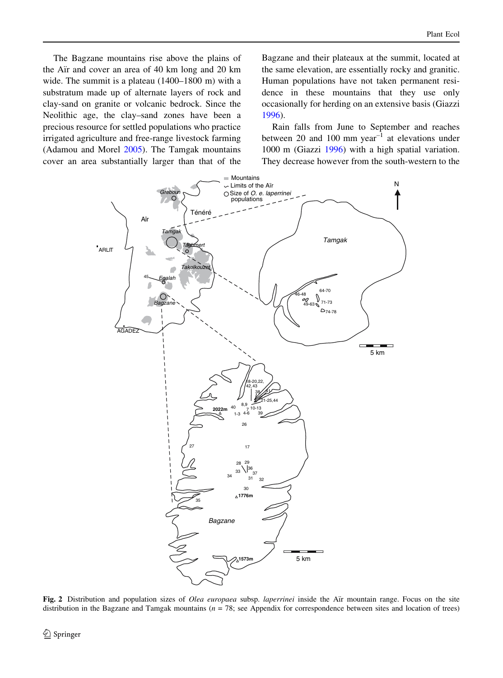<span id="page-3-0"></span>The Bagzane mountains rise above the plains of the Air and cover an area of 40 km long and 20 km wide. The summit is a plateau (1400–1800 m) with a substratum made up of alternate layers of rock and clay-sand on granite or volcanic bedrock. Since the Neolithic age, the clay–sand zones have been a precious resource for settled populations who practice irrigated agriculture and free-range livestock farming (Adamou and Morel [2005\)](#page-12-0). The Tamgak mountains cover an area substantially larger than that of the

Bagzane and their plateaux at the summit, located at the same elevation, are essentially rocky and granitic. Human populations have not taken permanent residence in these mountains that they use only occasionally for herding on an extensive basis (Giazzi [1996\)](#page-13-0).

Rain falls from June to September and reaches between 20 and 100 mm year<sup>-1</sup> at elevations under 1000 m (Giazzi [1996](#page-13-0)) with a high spatial variation. They decrease however from the south-western to the



Fig. 2 Distribution and population sizes of Olea europaea subsp. laperrinei inside the Air mountain range. Focus on the site distribution in the Bagzane and Tamgak mountains  $(n = 78)$ ; see Appendix for correspondence between sites and location of trees)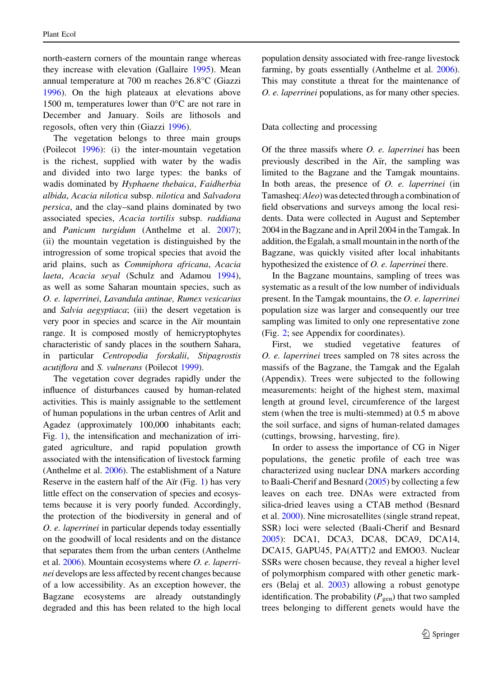north-eastern corners of the mountain range whereas they increase with elevation (Gallaire [1995](#page-13-0)). Mean annual temperature at 700 m reaches 26.8-C (Giazzi [1996\)](#page-13-0). On the high plateaux at elevations above 1500 m, temperatures lower than  $0^{\circ}$ C are not rare in December and January. Soils are lithosols and regosols, often very thin (Giazzi [1996\)](#page-13-0).

The vegetation belongs to three main groups (Poilecot [1996\)](#page-13-0): (i) the inter-mountain vegetation is the richest, supplied with water by the wadis and divided into two large types: the banks of wadis dominated by Hyphaene thebaica, Faidherbia albida, Acacia nilotica subsp. nilotica and Salvadora persica, and the clay–sand plains dominated by two associated species, Acacia tortilis subsp. raddiana and Panicum turgidum (Anthelme et al. [2007](#page-13-0)); (ii) the mountain vegetation is distinguished by the introgression of some tropical species that avoid the arid plains, such as Commiphora africana, Acacia laeta, Acacia seyal (Schulz and Adamou [1994](#page-14-0)), as well as some Saharan mountain species, such as O. e. laperrinei, Lavandula antinae, Rumex vesicarius and Salvia aegyptiaca; (iii) the desert vegetation is very poor in species and scarce in the Air mountain range. It is composed mostly of hemicryptophytes characteristic of sandy places in the southern Sahara, in particular Centropodia forskalii, Stipagrostis acutiflora and S. vulnerans (Poilecot [1999](#page-14-0)).

The vegetation cover degrades rapidly under the influence of disturbances caused by human-related activities. This is mainly assignable to the settlement of human populations in the urban centres of Arlit and Agadez (approximately 100,000 inhabitants each; Fig. [1](#page-2-0)), the intensification and mechanization of irrigated agriculture, and rapid population growth associated with the intensification of livestock farming (Anthelme et al. [2006\)](#page-12-0). The establishment of a Nature Reserve in the eastern half of the Air (Fig.  $1$ ) has very little effect on the conservation of species and ecosystems because it is very poorly funded. Accordingly, the protection of the biodiversity in general and of O. e. laperrinei in particular depends today essentially on the goodwill of local residents and on the distance that separates them from the urban centers (Anthelme et al. [2006\)](#page-12-0). Mountain ecosystems where O. e. laperrinei develops are less affected by recent changes because of a low accessibility. As an exception however, the Bagzane ecosystems are already outstandingly degraded and this has been related to the high local

population density associated with free-range livestock farming, by goats essentially (Anthelme et al. [2006\)](#page-12-0). This may constitute a threat for the maintenance of O. e. laperrinei populations, as for many other species.

# Data collecting and processing

Of the three massifs where O. e. laperrinei has been previously described in the Air, the sampling was limited to the Bagzane and the Tamgak mountains. In both areas, the presence of O. e. laperrinei (in Tamasheq:Aleo) was detected through a combination of field observations and surveys among the local residents. Data were collected in August and September 2004 in the Bagzane and in April 2004 in the Tamgak. In addition, the Egalah, a small mountain in the north of the Bagzane, was quickly visited after local inhabitants hypothesized the existence of O. e. laperrinei there.

In the Bagzane mountains, sampling of trees was systematic as a result of the low number of individuals present. In the Tamgak mountains, the O. e. laperrinei population size was larger and consequently our tree sampling was limited to only one representative zone (Fig. [2](#page-3-0); see Appendix for coordinates).

First, we studied vegetative features of O. e. laperrinei trees sampled on 78 sites across the massifs of the Bagzane, the Tamgak and the Egalah (Appendix). Trees were subjected to the following measurements: height of the highest stem, maximal length at ground level, circumference of the largest stem (when the tree is multi-stemmed) at 0.5 m above the soil surface, and signs of human-related damages (cuttings, browsing, harvesting, fire).

In order to assess the importance of CG in Niger populations, the genetic profile of each tree was characterized using nuclear DNA markers according to Baali-Cherif and Besnard ([2005\)](#page-13-0) by collecting a few leaves on each tree. DNAs were extracted from silica-dried leaves using a CTAB method (Besnard et al. [2000](#page-13-0)). Nine microsatellites (single strand repeat, SSR) loci were selected (Baali-Cherif and Besnard [2005\)](#page-13-0): DCA1, DCA3, DCA8, DCA9, DCA14, DCA15, GAPU45, PA(ATT)2 and EMO03. Nuclear SSRs were chosen because, they reveal a higher level of polymorphism compared with other genetic markers (Belaj et al. [2003\)](#page-13-0) allowing a robust genotype identification. The probability ( $P_{gen}$ ) that two sampled trees belonging to different genets would have the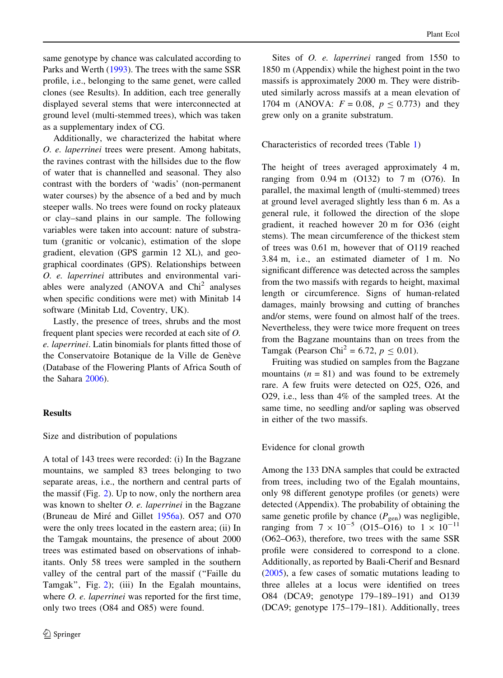same genotype by chance was calculated according to Parks and Werth [\(1993](#page-13-0)). The trees with the same SSR profile, i.e., belonging to the same genet, were called clones (see Results). In addition, each tree generally displayed several stems that were interconnected at ground level (multi-stemmed trees), which was taken as a supplementary index of CG.

Additionally, we characterized the habitat where O. e. laperrinei trees were present. Among habitats, the ravines contrast with the hillsides due to the flow of water that is channelled and seasonal. They also contrast with the borders of 'wadis' (non-permanent water courses) by the absence of a bed and by much steeper walls. No trees were found on rocky plateaux or clay–sand plains in our sample. The following variables were taken into account: nature of substratum (granitic or volcanic), estimation of the slope gradient, elevation (GPS garmin 12 XL), and geographical coordinates (GPS). Relationships between O. e. laperrinei attributes and environmental variables were analyzed  $(ANOVA$  and  $Chi<sup>2</sup>$  analyses when specific conditions were met) with Minitab 14 software (Minitab Ltd, Coventry, UK).

Lastly, the presence of trees, shrubs and the most frequent plant species were recorded at each site of O. e. laperrinei. Latin binomials for plants fitted those of the Conservatoire Botanique de la Ville de Genève (Database of the Flowering Plants of Africa South of the Sahara [2006\)](#page-13-0).

#### Results

#### Size and distribution of populations

A total of 143 trees were recorded: (i) In the Bagzane mountains, we sampled 83 trees belonging to two separate areas, i.e., the northern and central parts of the massif (Fig. [2\)](#page-3-0). Up to now, only the northern area was known to shelter *O. e. laperrinei* in the Bagzane (Bruneau de Miré and Gillet [1956a](#page-13-0)). O57 and O70 were the only trees located in the eastern area; (ii) In the Tamgak mountains, the presence of about 2000 trees was estimated based on observations of inhabitants. Only 58 trees were sampled in the southern valley of the central part of the massif (''Faille du Tamgak'', Fig. [2\)](#page-3-0); (iii) In the Egalah mountains, where *O. e. laperrinei* was reported for the first time, only two trees (O84 and O85) were found.

Sites of *O. e. laperrinei* ranged from 1550 to 1850 m (Appendix) while the highest point in the two massifs is approximately 2000 m. They were distributed similarly across massifs at a mean elevation of 1704 m (ANOVA:  $F = 0.08$ ,  $p \le 0.773$ ) and they grew only on a granite substratum.

## Characteristics of recorded trees (Table [1\)](#page-6-0)

The height of trees averaged approximately 4 m, ranging from 0.94 m (O132) to 7 m (O76). In parallel, the maximal length of (multi-stemmed) trees at ground level averaged slightly less than 6 m. As a general rule, it followed the direction of the slope gradient, it reached however 20 m for O36 (eight stems). The mean circumference of the thickest stem of trees was 0.61 m, however that of O119 reached 3.84 m, i.e., an estimated diameter of 1 m. No significant difference was detected across the samples from the two massifs with regards to height, maximal length or circumference. Signs of human-related damages, mainly browsing and cutting of branches and/or stems, were found on almost half of the trees. Nevertheless, they were twice more frequent on trees from the Bagzane mountains than on trees from the Tamgak (Pearson Chi<sup>2</sup> = 6.72,  $p \le 0.01$ ).

Fruiting was studied on samples from the Bagzane mountains  $(n = 81)$  and was found to be extremely rare. A few fruits were detected on O25, O26, and O29, i.e., less than 4% of the sampled trees. At the same time, no seedling and/or sapling was observed in either of the two massifs.

#### Evidence for clonal growth

Among the 133 DNA samples that could be extracted from trees, including two of the Egalah mountains, only 98 different genotype profiles (or genets) were detected (Appendix). The probability of obtaining the same genetic profile by chance  $(P_{gen})$  was negligible, ranging from  $7 \times 10^{-5}$  (O15–O16) to  $1 \times 10^{-11}$ (O62–O63), therefore, two trees with the same SSR profile were considered to correspond to a clone. Additionally, as reported by Baali-Cherif and Besnard [\(2005](#page-13-0)), a few cases of somatic mutations leading to three alleles at a locus were identified on trees O84 (DCA9; genotype 179–189–191) and O139 (DCA9; genotype 175–179–181). Additionally, trees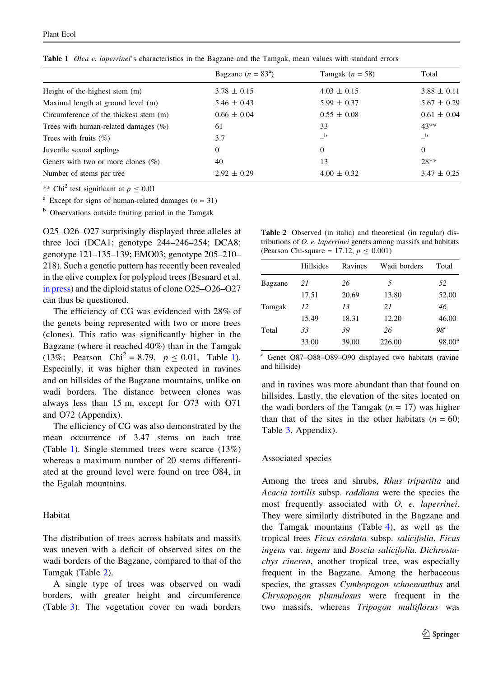| Bagzane $(n = 83^a)$ | Tamgak $(n = 58)$ | Total           |
|----------------------|-------------------|-----------------|
| $3.78 \pm 0.15$      | $4.03 \pm 0.15$   | $3.88 \pm 0.11$ |
| $5.46 \pm 0.43$      | $5.99 \pm 0.37$   | $5.67 \pm 0.29$ |
| $0.66 \pm 0.04$      | $0.55 \pm 0.08$   | $0.61 \pm 0.04$ |
| 61                   | 33                | $43**$          |
| 3.7                  | b                 | b               |
| $\Omega$             | $\Omega$          | $\Omega$        |
| 40                   | 13                | $28**$          |
| $2.92 \pm 0.29$      | $4.00 \pm 0.32$   | $3.47 \pm 0.25$ |
|                      |                   |                 |

<span id="page-6-0"></span>Table 1 Olea e. laperrinei's characteristics in the Bagzane and the Tamgak, mean values with standard errors

\*\* Chi<sup>2</sup> test significant at  $p \le 0.01$ 

<sup>a</sup> Except for signs of human-related damages ( $n = 31$ )

<sup>b</sup> Observations outside fruiting period in the Tamgak

O25–O26–O27 surprisingly displayed three alleles at three loci (DCA1; genotype 244–246–254; DCA8; genotype 121–135–139; EMO03; genotype 205–210– 218). Such a genetic pattern has recently been revealed in the olive complex for polyploid trees (Besnard et al. [in press\)](#page-13-0) and the diploid status of clone O25–O26–O27 can thus be questioned.

The efficiency of CG was evidenced with 28% of the genets being represented with two or more trees (clones). This ratio was significantly higher in the Bagzane (where it reached 40%) than in the Tamgak (13%; Pearson Chi<sup>2</sup> = 8.79,  $p \le 0.01$ , Table 1). Especially, it was higher than expected in ravines and on hillsides of the Bagzane mountains, unlike on wadi borders. The distance between clones was always less than 15 m, except for O73 with O71 and O72 (Appendix).

The efficiency of CG was also demonstrated by the mean occurrence of 3.47 stems on each tree (Table 1). Single-stemmed trees were scarce (13%) whereas a maximum number of 20 stems differentiated at the ground level were found on tree O84, in the Egalah mountains.

#### Habitat

The distribution of trees across habitats and massifs was uneven with a deficit of observed sites on the wadi borders of the Bagzane, compared to that of the Tamgak (Table 2).

A single type of trees was observed on wadi borders, with greater height and circumference (Table [3](#page-7-0)). The vegetation cover on wadi borders

Table 2 Observed (in italic) and theoretical (in regular) distributions of O. e. laperrinei genets among massifs and habitats (Pearson Chi-square = 17.12,  $p < 0.001$ )

|         | <b>Hillsides</b> | Ravines | Wadi borders | Total           |
|---------|------------------|---------|--------------|-----------------|
| Bagzane | 21               | 26      | 5            | 52              |
|         | 17.51            | 20.69   | 13.80        | 52.00           |
| Tamgak  | 12               | 13      | 21           | 46              |
|         | 15.49            | 18.31   | 12.20        | 46.00           |
| Total   | 33               | 39      | 26           | 98 <sup>a</sup> |
|         | 33.00            | 39.00   | 226.00       | $98.00^{\rm a}$ |

<sup>a</sup> Genet O87–O88–O89–O90 displayed two habitats (ravine and hillside)

and in ravines was more abundant than that found on hillsides. Lastly, the elevation of the sites located on the wadi borders of the Tamgak ( $n = 17$ ) was higher than that of the sites in the other habitats  $(n = 60;$ Table [3](#page-7-0), Appendix).

#### Associated species

Among the trees and shrubs, Rhus tripartita and Acacia tortilis subsp. raddiana were the species the most frequently associated with O. e. laperrinei. They were similarly distributed in the Bagzane and the Tamgak mountains (Table [4](#page-7-0)), as well as the tropical trees Ficus cordata subsp. salicifolia, Ficus ingens var. ingens and Boscia salicifolia. Dichrostachys cinerea, another tropical tree, was especially frequent in the Bagzane. Among the herbaceous species, the grasses Cymbopogon schoenanthus and Chrysopogon plumulosus were frequent in the two massifs, whereas Tripogon multiflorus was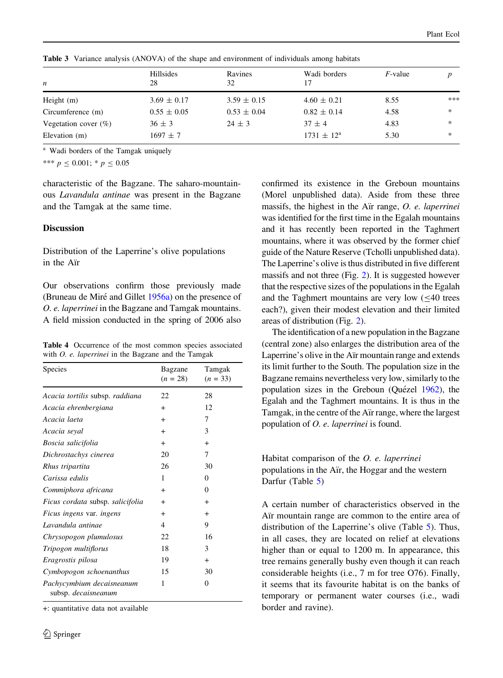| n                       | Hillsides<br>28 | Ravines<br>32   | Wadi borders<br>17    | $F$ -value |        |
|-------------------------|-----------------|-----------------|-----------------------|------------|--------|
| Height $(m)$            | $3.69 \pm 0.17$ | $3.59 \pm 0.15$ | $4.60 \pm 0.21$       | 8.55       | ***    |
| Circumference (m)       | $0.55 \pm 0.05$ | $0.53 \pm 0.04$ | $0.82 \pm 0.14$       | 4.58       | $\ast$ |
| Vegetation cover $(\%)$ | $36 \pm 3$      | $24 \pm 3$      | $37 \pm 4$            | 4.83       | $*$    |
| Elevation (m)           | $1697 \pm 7$    |                 | $1731 \pm 12^{\rm a}$ | 5.30       | $*$    |
|                         |                 |                 |                       |            |        |

<span id="page-7-0"></span>Table 3 Variance analysis (ANOVA) of the shape and environment of individuals among habitats

<sup>a</sup> Wadi borders of the Tamgak uniquely

\*\*\*  $p \le 0.001$ ; \*  $p \le 0.05$ 

characteristic of the Bagzane. The saharo-mountainous Lavandula antinae was present in the Bagzane and the Tamgak at the same time.

# **Discussion**

Distribution of the Laperrine's olive populations in the Air

Our observations confirm those previously made (Bruneau de Mire´ and Gillet [1956a\)](#page-13-0) on the presence of O. e. laperrinei in the Bagzane and Tamgak mountains. A field mission conducted in the spring of 2006 also

Table 4 Occurrence of the most common species associated with *O. e. laperrinei* in the Bagzane and the Tamgak

| Species                                          | Bagzane<br>$(n = 28)$ | Tamgak<br>$(n = 33)$ |
|--------------------------------------------------|-----------------------|----------------------|
| Acacia tortilis subsp. raddiana                  | 22                    | 28                   |
| Acacia ehrenbergiana                             | $\ddot{}$             | 12                   |
| Acacia laeta                                     | $^{+}$                | 7                    |
| Acacia seyal                                     | $^{+}$                | 3                    |
| Boscia salicifolia                               | $^{+}$                | $\ddot{}$            |
| Dichrostachys cinerea                            | 20                    | 7                    |
| Rhus tripartita                                  | 26                    | 30                   |
| Carissa edulis                                   | 1                     | $\Omega$             |
| Commiphora africana                              | $\ddot{}$             | $\Omega$             |
| Ficus cordata subsp. salicifolia                 | $\ddot{}$             | $\ddot{}$            |
| <i>Ficus ingens var. ingens</i>                  | $^{+}$                | $^{+}$               |
| Lavandula antinae                                | 4                     | 9                    |
| Chrysopogon plumulosus                           | 22                    | 16                   |
| Tripogon multiflorus                             | 18                    | 3                    |
| Eragrostis pilosa                                | 19                    | $^{+}$               |
| Cymbopogon schoenanthus                          | 15                    | 30                   |
| Pachycymbium decaisneanum<br>subsp. decaisneanum | 1                     | $\theta$             |

+: quantitative data not available

confirmed its existence in the Greboun mountains (Morel unpublished data). Aside from these three massifs, the highest in the Air range,  $O$ . *e. laperrinei* was identified for the first time in the Egalah mountains and it has recently been reported in the Taghmert mountains, where it was observed by the former chief guide of the Nature Reserve (Tcholli unpublished data). The Laperrine's olive is thus distributed in five different massifs and not three (Fig. [2\)](#page-3-0). It is suggested however that the respective sizes of the populations in the Egalah and the Taghmert mountains are very low  $(\leq 40$  trees each?), given their modest elevation and their limited areas of distribution (Fig. [2](#page-3-0)).

The identification of a new population in the Bagzane (central zone) also enlarges the distribution area of the Laperrine's olive in the Air mountain range and extends its limit further to the South. The population size in the Bagzane remains nevertheless very low, similarly to the population sizes in the Greboun (Quézel [1962\)](#page-14-0), the Egalah and the Taghmert mountains. It is thus in the Tamgak, in the centre of the Air range, where the largest population of O. e. laperrinei is found.

# Habitat comparison of the O. e. laperrinei populations in the Air, the Hoggar and the western Darfur (Table [5](#page-8-0))

A certain number of characteristics observed in the Air mountain range are common to the entire area of distribution of the Laperrine's olive (Table [5\)](#page-8-0). Thus, in all cases, they are located on relief at elevations higher than or equal to 1200 m. In appearance, this tree remains generally bushy even though it can reach considerable heights (i.e., 7 m for tree O76). Finally, it seems that its favourite habitat is on the banks of temporary or permanent water courses (i.e., wadi border and ravine).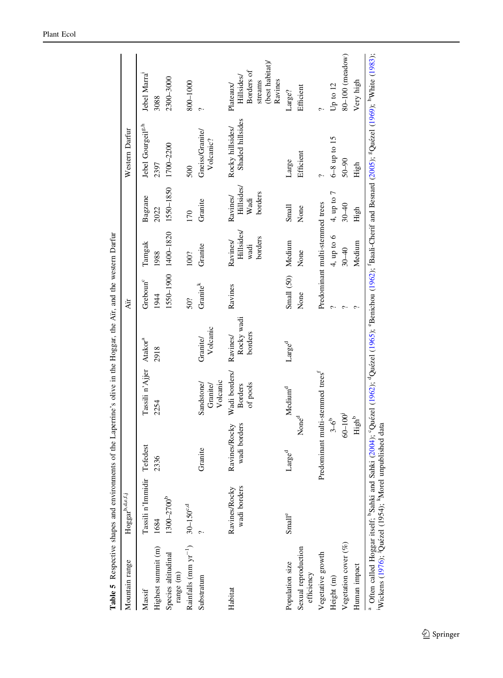<span id="page-8-0"></span>

| Mountain range                                  | Hoggarb,d.e.f.j               |                                              |                                             |                                  | Air                          |                                                 |                                                  | Western Darfur                        |                                                                                |
|-------------------------------------------------|-------------------------------|----------------------------------------------|---------------------------------------------|----------------------------------|------------------------------|-------------------------------------------------|--------------------------------------------------|---------------------------------------|--------------------------------------------------------------------------------|
| Highest summit (m)<br>Massif                    | Tassili n'Immidir<br>1684     | Tefedest<br>2336                             | Tassili n'Ajjer Atakor <sup>a</sup><br>2254 | 2918                             | Greboun <sup>c</sup><br>1944 | Tamgak<br>1988                                  | Bagzane<br>2022                                  | Jebel Gourgeil <sup>g,h</sup><br>2397 | Jebel Marra <sup>1</sup><br>3088                                               |
| Species altitudinal<br>range (m)                | 1300-2700 <sup>b</sup>        |                                              |                                             |                                  |                              | 1550-1900 1400-1820                             | 1550-1850                                        | 1700-2200                             | 2300-3000                                                                      |
| Rainfalls (mm $yr^{-1}$ ) 30-150°, <sup>d</sup> |                               |                                              |                                             |                                  | 50?                          | 100?                                            | 170                                              | 500                                   | 800-1000                                                                       |
| Substratum                                      |                               | Granite                                      | Volcanic<br>Sandstone/<br><b>Granite/</b>   | Volcanic<br><b>Granite</b> /     | Granite <sup>k</sup>         | Granite                                         | Granite                                          | Gneiss/Granite<br>Volcanic?           |                                                                                |
| Habitat                                         | wadi borders<br>Ravines/Rocky | wadi borders<br><b>Ravines/Rocky</b>         | Wadi borders/<br>of pools<br><b>Borders</b> | Rocky wadi<br>borders<br>Ravines | Ravines                      | <b>Hillsides</b><br>borders<br>Ravines/<br>wadi | <b>Hillsides/</b><br>borders<br>Ravines/<br>Wadi | Shaded hillsides<br>Rocky hillsides/  | (best habitat)/<br>Borders of<br>Hillsides/<br>Ravines<br>streams<br>Plateaux/ |
| Population size                                 | Small <sup>e</sup>            | Large <sup>d</sup>                           | Medium <sup>d</sup>                         | Large <sup>d</sup>               | Small (50)                   | Medium                                          | Small                                            | Large                                 | Large?                                                                         |
| Sexual reproduction<br>efficiency               |                               | None <sup>d</sup>                            |                                             |                                  | None                         | None                                            | None                                             | <b>Efficient</b>                      | Efficient                                                                      |
| Vegetative growth                               |                               | Predominant multi-stemmed trees <sup>1</sup> |                                             |                                  |                              | Predominant multi-stemmed trees                 |                                                  | $\sim$                                | ç.                                                                             |
| Height (m)                                      |                               | $3 - 6^{b}$                                  |                                             |                                  |                              | 4, up to 6                                      | 4, up to 7                                       | $6-8$ up to $15$                      | Up to $12$                                                                     |
| Vegetation cover (%)                            |                               | $60 - 100$                                   |                                             |                                  |                              | $30 - 40$                                       | $30 - 40$                                        | 50-90                                 | 80-100 (meadow)                                                                |
| Human impact                                    |                               | High <sup>b</sup>                            |                                             |                                  | ¢                            | Medium                                          | High                                             | High                                  | Very high                                                                      |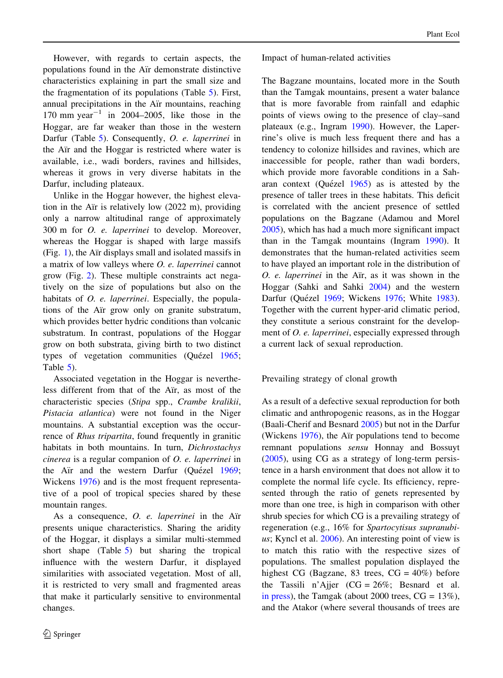However, with regards to certain aspects, the populations found in the Air demonstrate distinctive characteristics explaining in part the small size and the fragmentation of its populations (Table [5](#page-8-0)). First, annual precipitations in the Air mountains, reaching 170 mm year<sup>-1</sup> in 2004–2005, like those in the Hoggar, are far weaker than those in the western Darfur (Table [5](#page-8-0)). Consequently, O. e. laperrinei in the Air and the Hoggar is restricted where water is available, i.e., wadi borders, ravines and hillsides, whereas it grows in very diverse habitats in the Darfur, including plateaux.

Unlike in the Hoggar however, the highest elevation in the Air is relatively low  $(2022 \text{ m})$ , providing only a narrow altitudinal range of approximately 300 m for O. e. laperrinei to develop. Moreover, whereas the Hoggar is shaped with large massifs  $(Fig. 1)$  $(Fig. 1)$  $(Fig. 1)$ , the Air displays small and isolated massifs in a matrix of low valleys where O. e. laperrinei cannot grow (Fig. [2](#page-3-0)). These multiple constraints act negatively on the size of populations but also on the habitats of *O. e. laperrinei*. Especially, the populations of the Air grow only on granite substratum, which provides better hydric conditions than volcanic substratum. In contrast, populations of the Hoggar grow on both substrata, giving birth to two distinct types of vegetation communities (Quézel [1965](#page-14-0); Table [5\)](#page-8-0).

Associated vegetation in the Hoggar is nevertheless different from that of the Air, as most of the characteristic species (Stipa spp., Crambe kralikii, Pistacia atlantica) were not found in the Niger mountains. A substantial exception was the occurrence of *Rhus tripartita*, found frequently in granitic habitats in both mountains. In turn, Dichrostachys cinerea is a regular companion of O. e. laperrinei in the Air and the western Darfur (Quézel [1969](#page-14-0); Wickens [1976\)](#page-14-0) and is the most frequent representative of a pool of tropical species shared by these mountain ranges.

As a consequence,  $O.$  e. laperrinei in the Air presents unique characteristics. Sharing the aridity of the Hoggar, it displays a similar multi-stemmed short shape (Table [5\)](#page-8-0) but sharing the tropical influence with the western Darfur, it displayed similarities with associated vegetation. Most of all, it is restricted to very small and fragmented areas that make it particularly sensitive to environmental changes.

### Impact of human-related activities

The Bagzane mountains, located more in the South than the Tamgak mountains, present a water balance that is more favorable from rainfall and edaphic points of views owing to the presence of clay–sand plateaux (e.g., Ingram [1990](#page-13-0)). However, the Laperrine's olive is much less frequent there and has a tendency to colonize hillsides and ravines, which are inaccessible for people, rather than wadi borders, which provide more favorable conditions in a Saharan context (Quézel  $1965$ ) as is attested by the presence of taller trees in these habitats. This deficit is correlated with the ancient presence of settled populations on the Bagzane (Adamou and Morel [2005\)](#page-12-0), which has had a much more significant impact than in the Tamgak mountains (Ingram [1990\)](#page-13-0). It demonstrates that the human-related activities seem to have played an important role in the distribution of  $O.$  e. laperrinei in the Air, as it was shown in the Hoggar (Sahki and Sahki [2004\)](#page-14-0) and the western Darfur (Quézel [1969;](#page-14-0) Wickens [1976](#page-14-0); White [1983](#page-14-0)). Together with the current hyper-arid climatic period, they constitute a serious constraint for the development of O. e. laperrinei, especially expressed through a current lack of sexual reproduction.

Prevailing strategy of clonal growth

As a result of a defective sexual reproduction for both climatic and anthropogenic reasons, as in the Hoggar (Baali-Cherif and Besnard [2005\)](#page-13-0) but not in the Darfur (Wickens  $1976$ ), the Air populations tend to become remnant populations sensu Honnay and Bossuyt [\(2005](#page-13-0)), using CG as a strategy of long-term persistence in a harsh environment that does not allow it to complete the normal life cycle. Its efficiency, represented through the ratio of genets represented by more than one tree, is high in comparison with other shrub species for which CG is a prevailing strategy of regeneration (e.g., 16% for Spartocytisus supranubi-us; Kyncl et al. [2006\)](#page-13-0). An interesting point of view is to match this ratio with the respective sizes of populations. The smallest population displayed the highest CG (Bagzane, 83 trees,  $CG = 40\%)$  before the Tassili n'Ajjer  $(CG = 26\%;$  Besnard et al. [in press\)](#page-13-0), the Tamgak (about 2000 trees,  $CG = 13\%$ ), and the Atakor (where several thousands of trees are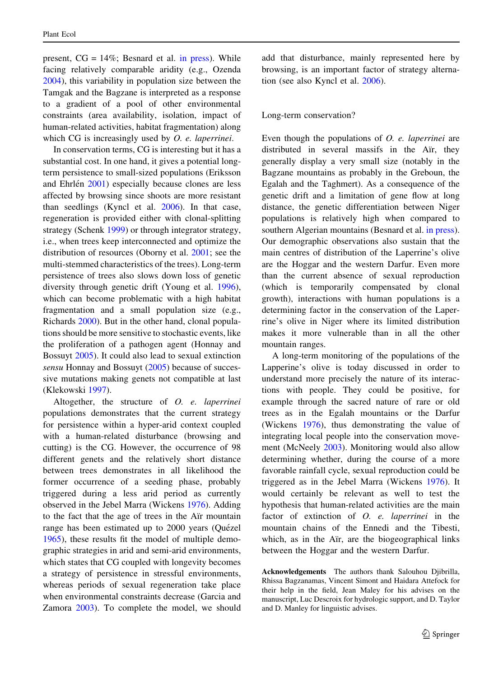present,  $CG = 14\%$ ; Besnard et al. [in press\)](#page-13-0). While facing relatively comparable aridity (e.g., Ozenda [2004\)](#page-13-0), this variability in population size between the Tamgak and the Bagzane is interpreted as a response to a gradient of a pool of other environmental constraints (area availability, isolation, impact of human-related activities, habitat fragmentation) along which  $CG$  is increasingly used by  $O.$  e. laperrinei.

In conservation terms, CG is interesting but it has a substantial cost. In one hand, it gives a potential longterm persistence to small-sized populations (Eriksson and Ehrlén  $2001$ ) especially because clones are less affected by browsing since shoots are more resistant than seedlings (Kyncl et al. [2006\)](#page-13-0). In that case, regeneration is provided either with clonal-splitting strategy (Schenk [1999](#page-14-0)) or through integrator strategy, i.e., when trees keep interconnected and optimize the distribution of resources (Oborny et al. [2001](#page-13-0); see the multi-stemmed characteristics of the trees). Long-term persistence of trees also slows down loss of genetic diversity through genetic drift (Young et al. [1996](#page-14-0)), which can become problematic with a high habitat fragmentation and a small population size (e.g., Richards [2000](#page-14-0)). But in the other hand, clonal populations should be more sensitive to stochastic events, like the proliferation of a pathogen agent (Honnay and Bossuyt [2005\)](#page-13-0). It could also lead to sexual extinction sensu Honnay and Bossuyt [\(2005](#page-13-0)) because of successive mutations making genets not compatible at last (Klekowski [1997\)](#page-13-0).

Altogether, the structure of O. e. laperrinei populations demonstrates that the current strategy for persistence within a hyper-arid context coupled with a human-related disturbance (browsing and cutting) is the CG. However, the occurrence of 98 different genets and the relatively short distance between trees demonstrates in all likelihood the former occurrence of a seeding phase, probably triggered during a less arid period as currently observed in the Jebel Marra (Wickens [1976\)](#page-14-0). Adding to the fact that the age of trees in the Air mountain range has been estimated up to 2000 years (Quézel [1965\)](#page-14-0), these results fit the model of multiple demographic strategies in arid and semi-arid environments, which states that CG coupled with longevity becomes a strategy of persistence in stressful environments, whereas periods of sexual regeneration take place when environmental constraints decrease (Garcia and Zamora [2003\)](#page-13-0). To complete the model, we should

add that disturbance, mainly represented here by browsing, is an important factor of strategy alternation (see also Kyncl et al. [2006](#page-13-0)).

#### Long-term conservation?

Even though the populations of O. e. laperrinei are distributed in several massifs in the Air, they generally display a very small size (notably in the Bagzane mountains as probably in the Greboun, the Egalah and the Taghmert). As a consequence of the genetic drift and a limitation of gene flow at long distance, the genetic differentiation between Niger populations is relatively high when compared to southern Algerian mountains (Besnard et al. [in press](#page-13-0)). Our demographic observations also sustain that the main centres of distribution of the Laperrine's olive are the Hoggar and the western Darfur. Even more than the current absence of sexual reproduction (which is temporarily compensated by clonal growth), interactions with human populations is a determining factor in the conservation of the Laperrine's olive in Niger where its limited distribution makes it more vulnerable than in all the other mountain ranges.

A long-term monitoring of the populations of the Lapperine's olive is today discussed in order to understand more precisely the nature of its interactions with people. They could be positive, for example through the sacred nature of rare or old trees as in the Egalah mountains or the Darfur (Wickens [1976](#page-14-0)), thus demonstrating the value of integrating local people into the conservation movement (McNeely [2003](#page-13-0)). Monitoring would also allow determining whether, during the course of a more favorable rainfall cycle, sexual reproduction could be triggered as in the Jebel Marra (Wickens [1976\)](#page-14-0). It would certainly be relevant as well to test the hypothesis that human-related activities are the main factor of extinction of O. e. laperrinei in the mountain chains of the Ennedi and the Tibesti, which, as in the Aïr, are the biogeographical links between the Hoggar and the western Darfur.

Acknowledgements The authors thank Salouhou Djibrilla, Rhissa Bagzanamas, Vincent Simont and Haidara Attefock for their help in the field, Jean Maley for his advises on the manuscript, Luc Descroix for hydrologic support, and D. Taylor and D. Manley for linguistic advises.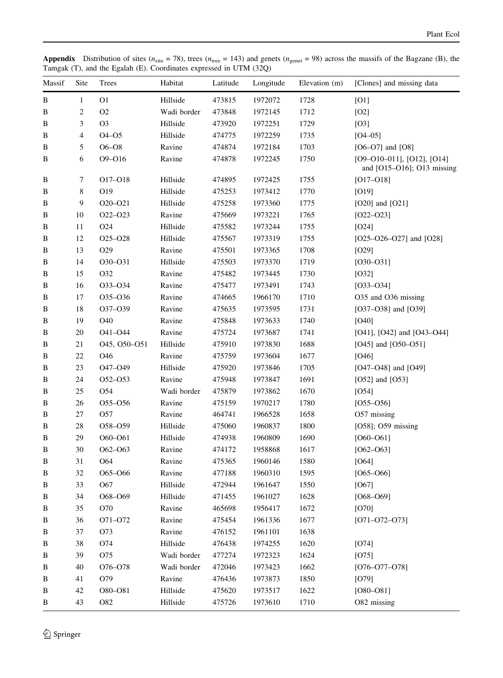**Appendix** Distribution of sites ( $n_{\text{site}} = 78$ ), trees ( $n_{\text{tree}} = 143$ ) and genets ( $n_{\text{gender}} = 98$ ) across the massifs of the Bagzane (B), the Tamgak (T), and the Egalah (E). Coordinates expressed in UTM (32Q)

| Massif       | Site           | Trees                            | Habitat     | Latitude | Longitude | Elevation (m) | [Clones] and missing data                                           |
|--------------|----------------|----------------------------------|-------------|----------|-----------|---------------|---------------------------------------------------------------------|
| $\, {\bf B}$ | $\mathbf{1}$   | O <sub>1</sub>                   | Hillside    | 473815   | 1972072   | 1728          | [O1]                                                                |
| B            | $\overline{c}$ | O <sub>2</sub>                   | Wadi border | 473848   | 1972145   | 1712          | [O2]                                                                |
| B            | 3              | O <sub>3</sub>                   | Hillside    | 473920   | 1972251   | 1729          | [O3]                                                                |
| B            | 4              | $O4 - O5$                        | Hillside    | 474775   | 1972259   | 1735          | $[O4 - 05]$                                                         |
| В            | 5              | $O6 - O8$                        | Ravine      | 474874   | 1972184   | 1703          | $[O6-O7]$ and $[O8]$                                                |
| B            | 6              | O9-O16                           | Ravine      | 474878   | 1972245   | 1750          | $[O9-O10-O11]$ , $[O12]$ , $[O14]$<br>and $[O15-O16]$ ; O13 missing |
| B            | 7              | O17-O18                          | Hillside    | 474895   | 1972425   | 1755          | $[O17 - O18]$                                                       |
| B            | 8              | O19                              | Hillside    | 475253   | 1973412   | 1770          | [O19]                                                               |
| B            | 9              | O20-O21                          | Hillside    | 475258   | 1973360   | 1775          | $[O20]$ and $[O21]$                                                 |
| B            | 10             | O22-O23                          | Ravine      | 475669   | 1973221   | 1765          | $[O22-O23]$                                                         |
| B            | 11             | O24                              | Hillside    | 475582   | 1973244   | 1755          | $[O24]$                                                             |
| B            | 12             | O <sub>25</sub> -O <sub>28</sub> | Hillside    | 475567   | 1973319   | 1755          | $[O25-O26-O27]$ and $[O28]$                                         |
| B            | 13             | O29                              | Ravine      | 475501   | 1973365   | 1708          | [O29]                                                               |
| B            | 14             | O30-O31                          | Hillside    | 475503   | 1973370   | 1719          | $[O30-O31]$                                                         |
| B            | 15             | O32                              | Ravine      | 475482   | 1973445   | 1730          | [O32]                                                               |
| B            | 16             | 033-034                          | Ravine      | 475477   | 1973491   | 1743          | $[O33 - O34]$                                                       |
| B            | 17             | O35-O36                          | Ravine      | 474665   | 1966170   | 1710          | O35 and O36 missing                                                 |
| B            | 18             | O37-O39                          | Ravine      | 475635   | 1973595   | 1731          | [O37-O38] and $[O39]$                                               |
| B            | 19             | O40                              | Ravine      | 475848   | 1973633   | 1740          | [O40]                                                               |
| B            | 20             | O41-O44                          | Ravine      | 475724   | 1973687   | 1741          | [O41], [O42] and $[O43-O44]$                                        |
| $\, {\bf B}$ | 21             | O45, O50-O51                     | Hillside    | 475910   | 1973830   | 1688          | [O45] and $[O50-O51]$                                               |
| B            | 22             | O46                              | Ravine      | 475759   | 1973604   | 1677          | $[O46]$                                                             |
| B            | 23             | O47-O49                          | Hillside    | 475920   | 1973846   | 1705          | $[O47 - O48]$ and $[O49]$                                           |
| B            | 24             | O <sub>52</sub> -O <sub>53</sub> | Ravine      | 475948   | 1973847   | 1691          | [O52] and $[O53]$                                                   |
| B            | 25             | O54                              | Wadi border | 475879   | 1973862   | 1670          | [O54]                                                               |
| B            | 26             | O55-O56                          | Ravine      | 475159   | 1970217   | 1780          | $[O55-O56]$                                                         |
| B            | 27             | O <sub>57</sub>                  | Ravine      | 464741   | 1966528   | 1658          | O57 missing                                                         |
| B            | 28             | O58-O59                          | Hillside    | 475060   | 1960837   | 1800          | [O58]; O59 missing                                                  |
| B            | 29             | O60-O61                          | Hillside    | 474938   | 1960809   | 1690          | $[060 - 061]$                                                       |
| B            | 30             | O62-O63                          | Ravine      | 474172   | 1958868   | 1617          | $[062 - 063]$                                                       |
| $\, {\bf B}$ | 31             | O64                              | Ravine      | 475365   | 1960146   | 1580          | $[O64]$                                                             |
| В            | 32             | O65-O66                          | Ravine      | 477188   | 1960310   | 1595          | $[065 - 066]$                                                       |
| В            | 33             | O67                              | Hillside    | 472944   | 1961647   | 1550          | [O67]                                                               |
| B            | 34             | O68-O69                          | Hillside    | 471455   | 1961027   | 1628          | $[O68 - O69]$                                                       |
| B            | 35             | O70                              | Ravine      | 465698   | 1956417   | 1672          | [O70]                                                               |
| B            | 36             | O71-O72                          | Ravine      | 475454   | 1961336   | 1677          | $[O71 - O72 - O73]$                                                 |
| B            | 37             | O73                              | Ravine      | 476152   | 1961101   | 1638          |                                                                     |
| B            | 38             | O74                              | Hillside    | 476438   | 1974255   | 1620          | [O74]                                                               |
| B            | 39             | O75                              | Wadi border | 477274   | 1972323   | 1624          | [O75]                                                               |
| B            | 40             | O76-O78                          | Wadi border | 472046   | 1973423   | 1662          | $[O76 - O77 - O78]$                                                 |
| B            | 41             | O79                              | Ravine      | 476436   | 1973873   | 1850          | [O79]                                                               |
| B            | 42             | O80-O81                          | Hillside    | 475620   | 1973517   | 1622          | $[O80-O81]$                                                         |
| B            | 43             | O82                              | Hillside    | 475726   | 1973610   | 1710          | O82 missing                                                         |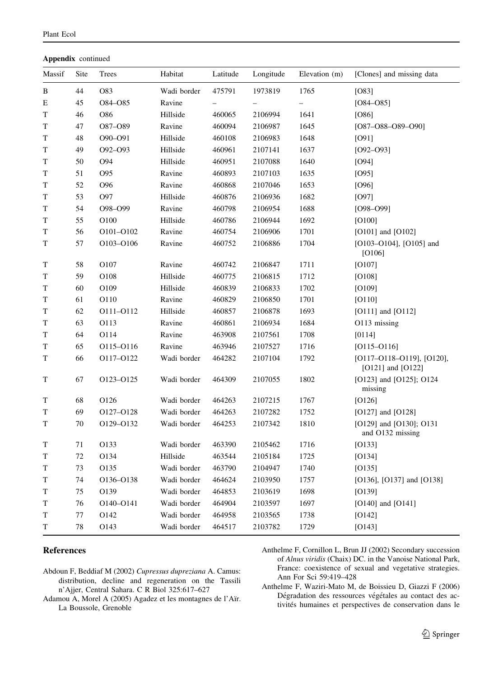<span id="page-12-0"></span>

| Appendix continued |  |
|--------------------|--|
|--------------------|--|

| Massif | Site | Trees           | Habitat     | Latitude | Longitude | Elevation (m)            | [Clones] and missing data                                      |
|--------|------|-----------------|-------------|----------|-----------|--------------------------|----------------------------------------------------------------|
| B      | 44   | O83             | Wadi border | 475791   | 1973819   | 1765                     | [O83]                                                          |
| E      | 45   | O84-O85         | Ravine      |          |           | $\overline{\phantom{0}}$ | $[084 - 085]$                                                  |
| T      | 46   | O86             | Hillside    | 460065   | 2106994   | 1641                     | [O86]                                                          |
| T      | 47   | O87-O89         | Ravine      | 460094   | 2106987   | 1645                     | $[O87 - O88 - O89 - O90]$                                      |
| T      | 48   | O90-O91         | Hillside    | 460108   | 2106983   | 1648                     | [O91]                                                          |
| T      | 49   | O92-O93         | Hillside    | 460961   | 2107141   | 1637                     | $[O92 - O93]$                                                  |
| T      | 50   | O94             | Hillside    | 460951   | 2107088   | 1640                     | [O94]                                                          |
| T      | 51   | O95             | Ravine      | 460893   | 2107103   | 1635                     | [O95]                                                          |
| T      | 52   | O <sub>96</sub> | Ravine      | 460868   | 2107046   | 1653                     | [O96]                                                          |
| T      | 53   | O97             | Hillside    | 460876   | 2106936   | 1682                     | [O97]                                                          |
| T      | 54   | O98-O99         | Ravine      | 460798   | 2106954   | 1688                     | $[O98 - O99]$                                                  |
| T      | 55   | O100            | Hillside    | 460786   | 2106944   | 1692                     | [O100]                                                         |
| T      | 56   | O101-O102       | Ravine      | 460754   | 2106906   | 1701                     | $[O101]$ and $[O102]$                                          |
| T      | 57   | O103-O106       | Ravine      | 460752   | 2106886   | 1704                     | $[O103-O104]$ , $[O105]$ and<br>[O106]                         |
| T      | 58   | O107            | Ravine      | 460742   | 2106847   | 1711                     | $[O107]$                                                       |
| T      | 59   | O108            | Hillside    | 460775   | 2106815   | 1712                     | [O108]                                                         |
| T      | 60   | O109            | Hillside    | 460839   | 2106833   | 1702                     | [O109]                                                         |
| T      | 61   | O110            | Ravine      | 460829   | 2106850   | 1701                     | [O110]                                                         |
| T      | 62   | O111-O112       | Hillside    | 460857   | 2106878   | 1693                     | [O111] and $[O112]$                                            |
| T      | 63   | O113            | Ravine      | 460861   | 2106934   | 1684                     | O113 missing                                                   |
| T      | 64   | O114            | Ravine      | 463908   | 2107561   | 1708                     | [0114]                                                         |
| T      | 65   | O115-O116       | Ravine      | 463946   | 2107527   | 1716                     | $[O115 - O116]$                                                |
| T      | 66   | O117-O122       | Wadi border | 464282   | 2107104   | 1792                     | $[O117 - O118 - O119]$ , $[O120]$ ,<br>[ $O121$ ] and $[O122]$ |
| T      | 67   | 0123-0125       | Wadi border | 464309   | 2107055   | 1802                     | [O123] and [O125]; O124<br>missing                             |
| T      | 68   | O126            | Wadi border | 464263   | 2107215   | 1767                     | [O126]                                                         |
| T      | 69   | O127-O128       | Wadi border | 464263   | 2107282   | 1752                     | $[O127]$ and $[O128]$                                          |
| T      | 70   | O129-O132       | Wadi border | 464253   | 2107342   | 1810                     | [O129] and [O130]; O131<br>and O132 missing                    |
| T      | 71   | O133            | Wadi border | 463390   | 2105462   | 1716                     | [O133]                                                         |
| T      | 72   | O134            | Hillside    | 463544   | 2105184   | 1725                     | [O134]                                                         |
| T      | 73   | O135            | Wadi border | 463790   | 2104947   | 1740                     | [O135]                                                         |
| T      | 74   | O136-O138       | Wadi border | 464624   | 2103950   | 1757                     | [O136], [O137] and [O138]                                      |
| T      | 75   | O139            | Wadi border | 464853   | 2103619   | 1698                     | [O139]                                                         |
| T      | 76   | O140-O141       | Wadi border | 464904   | 2103597   | 1697                     | $[O140]$ and $[O141]$                                          |
| T      | 77   | O142            | Wadi border | 464958   | 2103565   | 1738                     | [O142]                                                         |
| T      | 78   | O143            | Wadi border | 464517   | 2103782   | 1729                     | [O143]                                                         |

### References

- Abdoun F, Beddiaf M (2002) Cupressus dupreziana A. Camus: distribution, decline and regeneration on the Tassili n'Ajjer, Central Sahara. C R Biol 325:617–627
- Adamou A, Morel A (2005) Agadez et les montagnes de l'Aïr. La Boussole, Grenoble
- Anthelme F, Cornillon L, Brun JJ (2002) Secondary succession of Alnus viridis (Chaix) DC. in the Vanoise National Park, France: coexistence of sexual and vegetative strategies. Ann For Sci 59:419–428
- Anthelme F, Waziri-Mato M, de Boissieu D, Giazzi F (2006) Dégradation des ressources végétales au contact des activités humaines et perspectives de conservation dans le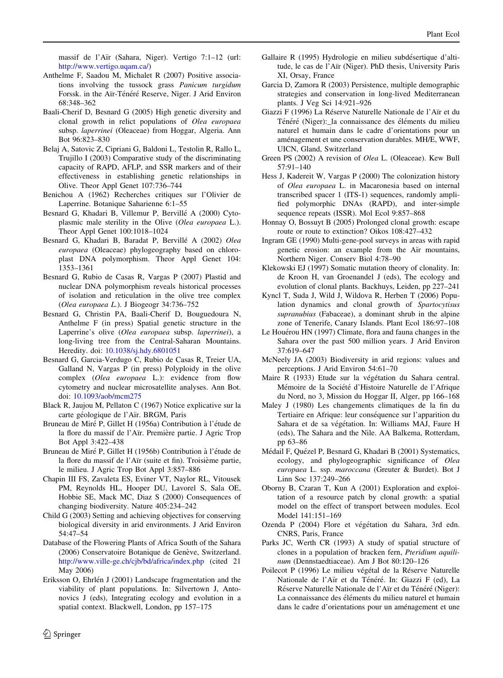<span id="page-13-0"></span>massif de l'Aïr (Sahara, Niger). Vertigo 7:1-12 (url: [http://www.vertigo.uqam.ca/\)](http://www.vertigo.uqam.ca/)

- Anthelme F, Saadou M, Michalet R (2007) Positive associations involving the tussock grass Panicum turgidum Forssk. in the Aïr-Ténéré Reserve, Niger. J Arid Environ 68:348–362
- Baali-Cherif D, Besnard G (2005) High genetic diversity and clonal growth in relict populations of Olea europaea subsp. laperrinei (Oleaceae) from Hoggar, Algeria. Ann Bot 96:823–830
- Belaj A, Satovic Z, Cipriani G, Baldoni L, Testolin R, Rallo L, Trujillo I (2003) Comparative study of the discriminating capacity of RAPD, AFLP, and SSR markers and of their effectiveness in establishing genetic relationships in Olive. Theor Appl Genet 107:736–744
- Benichou A (1962) Recherches critiques sur l'Olivier de Laperrine. Botanique Saharienne 6:1–55
- Besnard G, Khadari B, Villemur P, Bervillé A (2000) Cytoplasmic male sterility in the Olive (Olea europaea L.). Theor Appl Genet 100:1018–1024
- Besnard G, Khadari B, Baradat P, Bervillé A (2002) Olea europaea (Oleaceae) phylogeography based on chloroplast DNA polymorphism. Theor Appl Genet 104: 1353–1361
- Besnard G, Rubio de Casas R, Vargas P (2007) Plastid and nuclear DNA polymorphism reveals historical processes of isolation and reticulation in the olive tree complex (Olea europaea L.). J Biogeogr 34:736–752
- Besnard G, Christin PA, Baali-Cherif D, Bouguedoura N, Anthelme F (in press) Spatial genetic structure in the Laperrine's olive (Olea europaea subsp. laperrinei), a long-living tree from the Central-Saharan Mountains. Heredity. doi: [10.1038/sj.hdy.6801051](http://dx.doi.org/10.1038/sj.hdy.6801051)
- Besnard G, Garcia-Verdugo C, Rubio de Casas R, Treier UA, Galland N, Vargas P (in press) Polyploidy in the olive complex (Olea europaea L.): evidence from flow cytometry and nuclear microsatellite analyses. Ann Bot. doi: [10.1093/aob/mcm275](http://dx.doi.org/10.1093/aob/mcm275)
- Black R, Jaujou M, Pellaton C (1967) Notice explicative sur la carte géologique de l'Aïr. BRGM, Paris
- Bruneau de Miré P, Gillet H (1956a) Contribution à l'étude de la flore du massif de l'Aïr. Première partie. J Agric Trop Bot Appl 3:422–438
- Bruneau de Miré P, Gillet H (1956b) Contribution à l'étude de la flore du massif de l'Aïr (suite et fin). Troisième partie, le milieu. J Agric Trop Bot Appl 3:857–886
- Chapin III FS, Zavaleta ES, Eviner VT, Naylor RL, Vitousek PM, Reynolds HL, Hooper DU, Lavorel S, Sala OE, Hobbie SE, Mack MC, Diaz S (2000) Consequences of changing biodiversity. Nature 405:234–242
- Child G (2003) Setting and achieving objectives for conserving biological diversity in arid environments. J Arid Environ 54:47–54
- Database of the Flowering Plants of Africa South of the Sahara (2006) Conservatoire Botanique de Genève, Switzerland. <http://www.ville-ge.ch/cjb/bd/africa/index.php> (cited 21 May 2006)
- Eriksson O, Ehrlén J (2001) Landscape fragmentation and the viability of plant populations. In: Silvertown J, Antonovics J (eds), Integrating ecology and evolution in a spatial context. Blackwell, London, pp 157–175
- Gallaire R (1995) Hydrologie en milieu subdésertique d'altitude, le cas de l'Aïr (Niger). PhD thesis, University Paris XI, Orsay, France
- Garcia D, Zamora R (2003) Persistence, multiple demographic strategies and conservation in long-lived Mediterranean plants. J Veg Sci 14:921–926
- Giazzi F (1996) La Réserve Naturelle Nationale de l'Aïr et du Ténéré (Niger):\_la connaissance des éléments du milieu naturel et humain dans le cadre d'orientations pour un aménagement et une conservation durables. MH/E, WWF, UICN, Gland, Switzerland
- Green PS (2002) A revision of Olea L. (Oleaceae). Kew Bull 57:91–140
- Hess J, Kadereit W, Vargas P (2000) The colonization history of Olea europaea L. in Macaronesia based on internal transcribed spacer 1 (ITS-1) sequences, randomly amplified polymorphic DNAs (RAPD), and inter-simple sequence repeats (ISSR). Mol Ecol 9:857–868
- Honnay O, Bossuyt B (2005) Prolonged clonal growth: escape route or route to extinction? Oikos 108:427–432
- Ingram GE (1990) Multi-gene-pool surveys in areas with rapid genetic erosion: an example from the Air mountains, Northern Niger. Conserv Biol 4:78–90
- Klekowski EJ (1997) Somatic mutation theory of clonality. In: de Kroon H, van Groenandel J (eds), The ecology and evolution of clonal plants. Backhuys, Leiden, pp 227–241
- Kyncl T, Suda J, Wild J, Wildova R, Herben T (2006) Population dynamics and clonal growth of Spartocytisus supranubius (Fabaceae), a dominant shrub in the alpine zone of Tenerife, Canary Islands. Plant Ecol 186:97–108
- Le Houérou HN (1997) Climate, flora and fauna changes in the Sahara over the past 500 million years. J Arid Environ 37:619–647
- McNeely JA (2003) Biodiversity in arid regions: values and perceptions. J Arid Environ 54:61–70
- Maire R (1933) Etude sur la végétation du Sahara central. Mémoire de la Société d'Histoire Naturelle de l'Afrique du Nord, no 3, Mission du Hoggar II, Alger, pp 166–168
- Maley J (1980) Les changements climatiques de la fin du Tertiaire en Afrique: leur conséquence sur l'apparition du Sahara et de sa végétation. In: Williams MAJ, Faure H (eds), The Sahara and the Nile. AA Balkema, Rotterdam, pp 63–86
- Médail F, Quézel P, Besnard G, Khadari B (2001) Systematics, ecology, and phylogeographic significance of Olea europaea L. ssp. maroccana (Greuter & Burdet). Bot J Linn Soc 137:249–266
- Oborny B, Czaran T, Kun A (2001) Exploration and exploitation of a resource patch by clonal growth: a spatial model on the effect of transport between modules. Ecol Model 141:151–169
- Ozenda P (2004) Flore et végétation du Sahara, 3rd edn. CNRS, Paris, France
- Parks JC, Werth CR (1993) A study of spatial structure of clones in a population of bracken fern, Pteridium aquilinum (Dennstaedtiaceae). Am J Bot 80:120–126
- Poilecot P (1996) Le milieu végétal de la Réserve Naturelle Nationale de l'Aïr et du Ténéré. In: Giazzi F (ed), La Réserve Naturelle Nationale de l'Aïr et du Ténéré (Niger): La connaissance des éléments du milieu naturel et humain dans le cadre d'orientations pour un aménagement et une